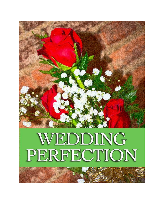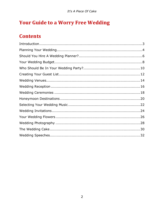# **Your Guide to a Worry Free Wedding**

# **Contents**

| $\label{eq:interoduction} \begin{minipage}{0.9\linewidth} \begin{minipage}{0.9\linewidth} \begin{minipage}{0.9\linewidth} \begin{minipage}{0.9\linewidth} \begin{minipage}{0.9\linewidth} \end{minipage} \begin{minipage}{0.9\linewidth} \begin{minipage}{0.9\linewidth} \end{minipage} \begin{minipage}{0.9\linewidth} \end{minipage} \begin{minipage}{0.9\linewidth} \begin{minipage}{0.9\linewidth} \end{minipage} \begin{minipage}{0.9\linewidth} \end{minipage} \begin{minipage}{0.9\linewidth} \begin{minipage}{0.9\linewidth} \end{minipage}$ |  |
|------------------------------------------------------------------------------------------------------------------------------------------------------------------------------------------------------------------------------------------------------------------------------------------------------------------------------------------------------------------------------------------------------------------------------------------------------------------------------------------------------------------------------------------------------|--|
|                                                                                                                                                                                                                                                                                                                                                                                                                                                                                                                                                      |  |
|                                                                                                                                                                                                                                                                                                                                                                                                                                                                                                                                                      |  |
|                                                                                                                                                                                                                                                                                                                                                                                                                                                                                                                                                      |  |
|                                                                                                                                                                                                                                                                                                                                                                                                                                                                                                                                                      |  |
|                                                                                                                                                                                                                                                                                                                                                                                                                                                                                                                                                      |  |
|                                                                                                                                                                                                                                                                                                                                                                                                                                                                                                                                                      |  |
|                                                                                                                                                                                                                                                                                                                                                                                                                                                                                                                                                      |  |
|                                                                                                                                                                                                                                                                                                                                                                                                                                                                                                                                                      |  |
|                                                                                                                                                                                                                                                                                                                                                                                                                                                                                                                                                      |  |
|                                                                                                                                                                                                                                                                                                                                                                                                                                                                                                                                                      |  |
|                                                                                                                                                                                                                                                                                                                                                                                                                                                                                                                                                      |  |
|                                                                                                                                                                                                                                                                                                                                                                                                                                                                                                                                                      |  |
|                                                                                                                                                                                                                                                                                                                                                                                                                                                                                                                                                      |  |
|                                                                                                                                                                                                                                                                                                                                                                                                                                                                                                                                                      |  |
|                                                                                                                                                                                                                                                                                                                                                                                                                                                                                                                                                      |  |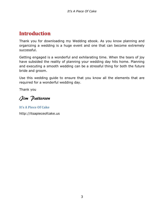### <span id="page-2-0"></span>**Introduction**

Thank you for downloading my Wedding ebook. As you know planning and organizing a wedding is a huge event and one that can become extremely successful.

Getting engaged is a wonderful and exhilarating time. When the tears of joy have subsided the reality of planning your wedding day hits home. Planning and executing a smooth wedding can be a stressful thing for both the future bride and groom.

Use this wedding guide to ensure that you know all the elements that are required for a wonderful wedding day.

Thank you

Jim Patterson

**It's A Piece Of Cake** http://itsapieceofcake.us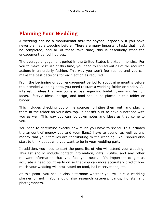### <span id="page-3-0"></span>**Planning Your Wedding**

A wedding can be a monumental task for anyone, especially if you have never planned a wedding before. There are many important tasks that must be completed, and all of these take time; this is essentially what the engagement period involves.

The average engagement period in the United States is sixteen months. For you to make best use of this time, you need to spread out all of the required actions in an orderly fashion. This way you won't feel rushed and you can make the best decisions for each action as required.

From the beginning of your engagement period to about nine months before the intended wedding date, you need to start a wedding folder or binder. All interesting ideas that you come across regarding bridal gowns and fashion ideas, lifestyle ideas, design, and food should be placed in this folder or binder.

This includes checking out online sources, printing them out, and placing them in the folder on your desktop. It doesn't hurt to have a notepad with you as well. This way you can jot down notes and ideas as they come to you.

You need to determine exactly how much you have to spend. This includes the amount of money you and your fiancé have to spend, as well as any money that your families are contributing to the wedding. You should also start to think about who you want to be in your wedding party.

In addition, you need to start the guest list of who will attend your wedding. This list should include contact information, gifts, RSVPs, and any other relevant information that you feel you need. It's important to get as accurate a head count early on so that you can more accurately predict how much your wedding will cost based on food, hall reservations, etc.

At this point, you should also determine whether you will hire a wedding planner or not. You should also research caterers, bands, florists, and photographers.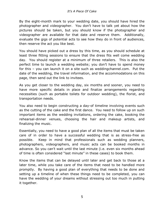By the eight-month mark to your wedding date, you should have hired the photographer and videographer. You don't have to talk yet about how the pictures should be taken, but you should know if the photographer and videographer are available for that date and reserve them. Additionally, evaluate the gigs of potential acts to see how they do in front of audiences, then reserve the act you like best.

You should have picked out a dress by this time, as you should schedule at least three fitting sessions to ensure that the dress fits well come wedding day. You should register at a minimum of three retailers. This is also the perfect time to launch a wedding website; you don't have to spend money for this – you can launch it on a site such as weddingchannel.com. Put the date of the wedding, the travel information, and the accommodations on this page, then send out the link to invitees.

As you get closer to the wedding day, six months and sooner, you need to have more specific details in place and finalize arrangements regarding necessities (such as portable toilets for outdoor wedding), the florist, and transportation needs.

You also need to begin constructing a day-of timeline involving events such as the cutting of the cake and the first dance. You need to follow up on such important items as the wedding invitations, ordering the cake, booking the rehearsal-dinner venues, choosing the hair and makeup artists, and finalizing the music.

Essentially, you need to have a good plan of all the items that must be taken care of in order to have a successful wedding that is as stress-free as possible. Keep in mind that professionals such as wedding planners, photographers, videographers, and music acts can be booked months in advance. So you can't wait until the last minute (i.e. even six months ahead of time is often considered "last minute" in these cases) to book them.

Know the items that can be delayed until later and get back to those at a later time, while you take care of the items that need to be handled more promptly. By having a good plan of everything that needs to be done and setting up a timeline of when these things need to be completed, you can have the wedding of your dreams without stressing out too much in putting it together.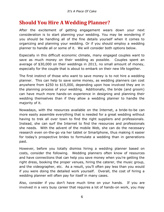#### <span id="page-5-0"></span>**Should You Hire A Wedding Planner?**

After the excitement of getting engagement wears down your next consideration is to start planning your wedding. You may be wondering if you should be handling all of the fine details yourself when it comes to organizing and planning your wedding. Or if you should employ a wedding planner to handle all or some of it. We will consider both options below.

Especially in this difficult economic climate, many engaged couples want to save as much money on their wedding as possible. Couples spent an average of \$30,000 on their weddings in 2013, no small amount of money, especially for the couple that is about to embark on their new life together.

The first instinct of those who want to save money is to not hire a wedding planner. This can help to save some money, as wedding planners can cost anywhere from \$250 to \$15,000, depending upon how involved they are in the planning process of your wedding. Additionally, the bride (and groom) can have much more hands-on experience in designing and planning their wedding themselves than if they allow a wedding planner to handle the majority of it.

Nowadays, with the resources available on the Internet, a bride-to-be can more easily assemble everything that is needed for a great wedding without having to trek all over town to find the right suppliers and professionals. Instead, she can surf the Internet to find the resources and professionals she needs. With the advent of the mobile Web, she can do the necessary research even on-the-go via her tablet or Smartphone, thus making it easier for today's prospective brides to formulate a wedding than in generations past.

However, before you totally dismiss hiring a wedding planner based on costs, consider the following. Wedding planners often know of resources and have connections that can help you save money when you're getting the right dress, booking the proper venues, hiring the caterer, the music group, and the videographer, etc. As a result, you'll often pay less than you would if you were doing the detailed work yourself. Overall, the cost of hiring a wedding planner will often pay for itself in many cases.

Also, consider if you don't have much time on your hands. If you are involved in a very busy career that requires a lot of hands-on work, you may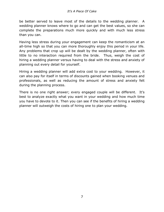be better served to leave most of the details to the wedding planner. A wedding planner knows where to go and can get the best values, so she can complete the preparations much more quickly and with much less stress than you can.

Having less stress during your engagement can keep the romanticism at an all-time high so that you can more thoroughly enjoy this period in your life. Any problems that crop up will be dealt by the wedding planner, often with little to no interaction required from the bride. Thus, weigh the cost of hiring a wedding planner versus having to deal with the stress and anxiety of planning out every detail for yourself.

Hiring a wedding planner will add extra cost to your wedding. However, it can also pay for itself in terms of discounts gained when booking venues and professionals, as well as reducing the amount of stress and anxiety felt during the planning process.

<span id="page-6-0"></span>There is no one right answer; every engaged couple will be different. It's best to analyze exactly what you want in your wedding and how much time you have to devote to it. Then you can see if the benefits of hiring a wedding planner will outweigh the costs of hiring one to plan your wedding.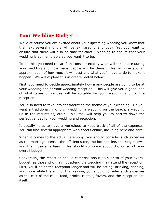### **Your Wedding Budget**

While of course you are excited about your upcoming wedding you know that the next several months will be exhilarating and busy. Yet you want to ensure that there will also be time for careful planning to ensure that your wedding is as memorable as you want it to be.

To do this, you need to carefully consider exactly what will take place during your wedding and how many people will be there. This will give you an approximation of how much it will cost and what you'll have to do to make it happen. We will explore this in greater detail below.

First, you need to decide approximately how many people are going to be at your wedding and at your wedding reception. This will give you a good idea of what types of venues will be suitable for your wedding and for the reception.

You also need to take into consideration the theme of your wedding. Do you want a traditional, in-church wedding, a wedding on the beach, a wedding up in the mountains, etc.? This, too, will help you to narrow down the perfect venues for your wedding and reception.

It usually helps to have a worksheet to keep track of all of the expenses. You can find several appropriate worksheets online, including [here](http://weddings.about.com/library/blbudgetworksheet.htm) and [here.](http://www.realsimple.com/static/pdfs/budget_worksheet.pdf)

When it comes to the actual ceremony, you should consider such expenses as the marriage license, the officient's fee, the location fee, the ring pillows, and the musician's fees. This should comprise about 3% or so of your overall budget.

Conversely, the reception should comprise about 48% or so of your overall budget, as those who may not attend the wedding may attend the reception. Plus, you'll be at the reception longer and will be eating, drinking, dancing, and more while there. For that reason, you should consider such expenses as the cost of the cake, food, drinks, rentals, favors, and the reception site itself.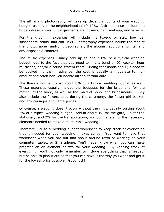The attire and photography will take up decent amounts of your wedding budget, usually in the neighborhood of 10-12%. Attire expenses include the bride's dress, shoes, undergarments and hosiery, hair, makeup, and jewelry.

For the groom, expenses will include his tuxedo or suit, bow tie, suspenders, studs, and cuff links. Photography expenses include the fees of the photographer and/or videographer, the albums, additional prints, and any disposable cameras.

The music expenses usually add up to about 8% of a typical wedding budget, due to the fact that you need to hire a band or DJ, cocktail hour musicians, and/or a sound system rental. Being that bands and Dj's need to be booked months in advance, the cost is usually a moderate to high amount and often non-refundable after a certain date.

The flowers normally cost about 8% of a typical wedding budget as well. These expenses usually include the bouquets for the bride and for the mother of the bride, as well as the maid-of-honor and bridesmaids'. They also include the flowers used during the ceremony, the flower-girl basket, and any corsages and centerpieces.

Of course, a wedding doesn't occur without the rings, usually costing about 3% of a typical wedding budget. Add in about 3% for the gifts, 3% for the stationery, and 2% for the transportation, and you have all of the necessary elements needed to make a memorable wedding.

<span id="page-8-0"></span>Therefore, utilize a wedding budget worksheet to keep track of everything that is needed for your wedding, makes sense. You want to have that worksheet when you are out and about around town or working on your computer, tablet, or Smartphone. You'll never know when you can make progress on an element or two for your wedding. By keeping track of everything, you'll not only remember to include everything that is needed, but be able to plan it out so that you can have it the way you want and get it for the lowest price possible. Good luck!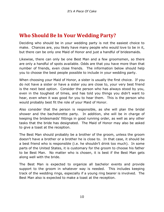### **Who Should Be In Your Wedding Party?**

Deciding who should be in your wedding party is not the easiest choice to make. Chances are, you likely have many people who would love to be in it, but there can be only one Maid of Honor and just a handful of bridesmaids.

Likewise, there can only be one Best Man and a few groomsmen, so there are only a handful of spots available. Odds are that you have more than that number of friends, even close friends. The information below should help you to choose the best people possible to include in your wedding party.

When choosing your Maid of Honor, a sister is usually the first choice. If you do not have a sister or have a sister you are close to, your very best friend is the next best option. Consider the person who has always stood by you, even in the toughest of times, and has told you things you didn't want to hear, even when it was good for you to hear them. This is the person who would probably best fit the role of your Maid of Honor.

Also consider that the person is responsible, as she will plan the bridal shower and the bachelorette party. In addition, she will be in charge of keeping the bridesmaids' fittings in good running order, as well as any other tasks that the bride has designated. The Maid of Honor may also be asked to give a toast at the reception.

The Best Man should probably be a brother of the groom, unless the groom doesn't have a brother or a brother he is close to. In that case, it should be a best friend who is responsible (i.e. he shouldn't drink too much). In some parts of the United States, it is customary for the groom to choose his father to be Best Man. No matter who is chosen, it is best if the Best Man gets along well with the bride.

The Best Man is expected to organize all bachelor events and provide support to the groom in whatever way is needed. This includes keeping track of the wedding rings, especially if a young ring bearer is involved. The Best Man also is expected to make a toast at the reception.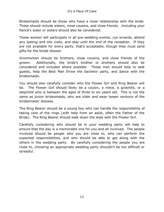Bridesmaids should be those who have a close relationship with the bride. These should include sisters, close cousins, and close friends. Including your fiancé's sister or sisters should also be considered.

These women will participate in all pre-wedding events, run errands, attend any tasting and site visits, and stay until the end of the reception. If they are not available for every party, that's acceptable, though they must send gifts for the bridal shower.

Groomsmen should be brothers, close cousins, and close friends of the groom. Additionally, the bride's brother or brothers should also be considered and included where possible. These men should help to seat guests, help the Best Man throw the bachelor party, and dance with the bridesmaids.

You should also carefully consider who the Flower Girl and Ring Bearer will be. The Flower Girl should likely be a cousin, a niece, a godchild, or a stepchild who is between the ages of three to six years old. This is not the same as junior bridesmaids, who are older and wear tween versions of the bridesmaids' dresses.

The Ring Bearer should be a young boy who can handle the responsibility of taking care of the rings (with help from an adult, often the Father of the Bride). The Ring Bearer should walk down the aisle with the Flower Girl.

<span id="page-10-0"></span>Carefully considering who should be in your wedding party will help to ensure that the day is a memorable one for you and all involved. The people involved should be people who you are close to, who can perform the expected responsibilities, and who should be able to get along with the others in the wedding party. By carefully considering the people you are close to, choosing an appropriate wedding party shouldn't be too difficult or stressful.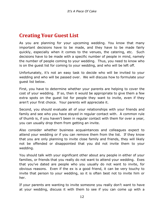#### **Creating Your Guest List**

As you are planning for your upcoming wedding. You know that many important decisions have to be made, and they have to be made fairly quickly, especially when it comes to the venues, the catering, etc. Such decisions have to be made with a specific number of people in mind, namely the number of people coming to your wedding. Thus, you need to know who is on the guest list for coming to your wedding, and who will be left off.

Unfortunately, it's not an easy task to decide who will be invited to your wedding and who will be passed over. We will discuss how to formulate your guest list below.

First, you have to determine whether your parents are helping to cover the cost of your wedding. If so, then it would be appropriate to give them a few extra spots on the guest list for people they want to invite, even if they aren't your first choice. Your parents will appreciate it.

Second, you should evaluate all of your relationships with your friends and family and see who you have stayed in regular contact with. A common rule of thumb is, if you haven't been in regular contact with them for over a year, you can usually drop them from getting an invite.

Also consider whether business acquaintances and colleagues expect to attend your wedding or if you can remove them from the list. If they know that you are only planning to invite close family and friends, they will likely not be offended or disappointed that you did not invite them to your wedding.

You should talk with your significant other about any people in either of your families, or friends that you really do not want to attend your wedding. Exes that you've dated are people who you usually do not want to invite, for obvious reasons. Even if the ex is a good friend, it can be very touchy to invite that person to your wedding, so it is often best not to invite him or her.

If your parents are wanting to invite someone you really don't want to have at your wedding, discuss it with them to see if you can come up with a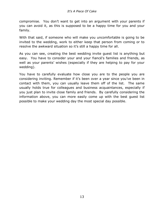compromise. You don't want to get into an argument with your parents if you can avoid it, as this is supposed to be a happy time for you and your family.

With that said, if someone who will make you uncomfortable is going to be invited to the wedding, work to either keep that person from coming or to resolve the awkward situation so it's still a happy time for all.

As you can see, creating the best wedding invite guest list is anything but easy. You have to consider your and your fiancé's families and friends, as well as your parents' wishes (especially if they are helping to pay for your wedding).

<span id="page-12-0"></span>You have to carefully evaluate how close you are to the people you are considering inviting. Remember if it's been over a year since you've been in contact with them, you can usually leave them off of the list. The same usually holds true for colleagues and business acquaintances, especially if you just plan to invite close family and friends. By carefully considering the information above, you can more easily come up with the best guest list possible to make your wedding day the most special day possible.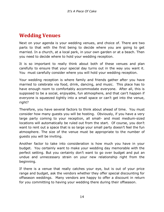### **Wedding Venues**

Next on your agenda is your wedding venues, and choice of. There are two parts to that with the first being to decide where you are going to get married. In a church, at a local park, in your own garden or at a beach. Then you need to decide where to hold your wedding reception.

It is so important to really think about both of these venues and plan carefully to ensure that your special day turns out in the way you want it. You must carefully consider where you will hold your wedding reception.

Your wedding reception is where family and friends gather after you have married to celebrate via food, drink, dancing, and music. This place has to have enough room to comfortably accommodate everyone. After all, this is supposed to be a social, enjoyable, fun atmosphere, and that can't happen if everyone is squeezed tightly into a small space or can't get into the venue, right?

Therefore, you have several factors to think about ahead of time. You must consider how many guests you will be hosting. Obviously, if you have a very large party coming to your reception, all small- and most medium-sized locations will automatically be ruled out from the start. Of course, you don't want to rent out a space that is so large your small party doesn't feel the fun atmosphere. The size of the venue must be appropriate to the number of guests you will be inviting.

Another factor to take into consideration is how much you have in your budget. You certainly want to make your wedding day memorable with the perfect setting. But you certainly don't want to go over budget and put an undue and unnecessary strain on your new relationship right from the beginning.

If there is a venue that really catches your eye, but is out of your price range and budget, ask the vendors whether they offer special discounting for offseason weddings. Many vendors are happy to offer a discount in return for you committing to having your wedding there during their offseason.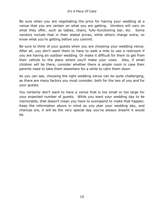Be sure when you are negotiating the price for having your wedding at a venue that you are certain on what you are getting. Vendors will vary on what they offer, such as tables, chairs, fully-functioning bar, etc. Some vendors include that in their stated prices, while others charge extra, so know what you're getting before you commit.

Be sure to think of your guests when you are choosing your wedding venue. After all, you don't want them to have to walk a mile to use a restroom if you are having an outdoor wedding. Or make it difficult for them to get from their vehicle to the place where you'll make your vows. Also, if small children will be there, consider whether there is ample room in case their parents need to take them elsewhere for a while to calm them down.

As you can see, choosing the right wedding venue can be quite challenging, as there are many factors you must consider, both for the two of you and for your guests.

<span id="page-14-0"></span>You certainly don't want to have a venue that is too small or too large for your expected number of guests. While you want your wedding day to be memorable, that doesn't mean you have to overspend to make that happen. Keep the information above in mind as you plan your wedding day, and chances are, it will be the very special day you've always dreamt it would be.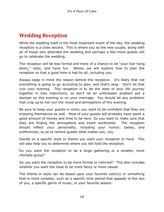### **Wedding Reception**

While the wedding itself is the most important event of the day, the wedding reception is a close second. This is where you as the new couple, along with all of those who attended the wedding and perhaps a few more guests will go to celebrate the wedding.

The reception will be less formal and more of a chance to let "your hair hang down," relax, and have fun. Below, we will explore how to plan the reception so that a good time is had by all, including you.

Always keep in mind the reason behind the reception. It's likely that not everything is going to go according to plan, and that's okay. Don't let that ruin your evening. This reception is to be the start of your life journey together in holy matrimony, so don't let an unforeseen problem put a damper on this evening or on your marriage. You should let any problems that crop up to not ruin the mood and atmosphere of this evening.

Be sure to keep your guests in mind; you want to be confident that they are enjoying themselves as well. Most of your guests will probably have spent a good amount of money and time to be here. So you want to make sure that they are finding the atmosphere and event worthwhile. The reception should reflect your personality, including your humor, tastes, and preferences, so as to remind guests what makes you, you.

Decide on a specific style or theme you want your reception to have. This will also help you to determine where you will hold the reception.

Do you want the reception to be a large gathering or a smaller, more intimate group?

Do you want the reception to be more formal or informal? This also includes whether you want the meal to be more fancy or more casual.

The theme or style can be based upon your favorite color(s) or something that is more complex, such as a specific time period that appeals to the two of you, a specific genre of music, or your favorite season.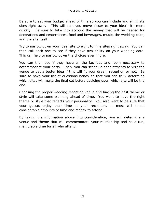Be sure to set your budget ahead of time so you can include and eliminate sites right away. This will help you move closer to your ideal site more quickly. Be sure to take into account the money that will be needed for decorations and centerpieces, food and beverages, music, the wedding cake, and the site itself.

Try to narrow down your ideal site to eight to nine sites right away. You can then call each one to see if they have availability on your wedding date. This can help to narrow down the choices even more.

You can then see if they have all the facilities and room necessary to accommodate your party. Then, you can schedule appointments to visit the venue to get a better idea if this will fit your dream reception or not. Be sure to have your list of questions handy so that you can truly determine which sites will make the final cut before deciding upon which site will be the one.

Choosing the proper wedding reception venue and having the best theme or style will take some planning ahead of time. You want to have the right theme or style that reflects your personality. You also want to be sure that your guests enjoy their time at your reception, as most will spend considerable amounts of time and money to attend.

<span id="page-16-0"></span>By taking the information above into consideration, you will determine a venue and theme that will commemorate your relationship and be a fun, memorable time for all who attend.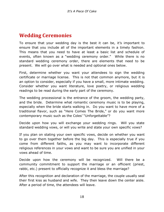#### **Wedding Ceremonies**

To ensure that your wedding day is the best it can be, it's important to ensure that you include all of the important elements in a timely fashion. This means that you need to have at least a basic list and schedule of events, often known as a "wedding ceremony order." While there is no standard wedding ceremony order, there are elements that need to be present. We will go over what is needed and optional ones below.

First, determine whether you want your attendees to sign the wedding certificate or marriage license. This is not that common anymore, but it is an option to consider, especially if you have a small, more intimate wedding. Consider whether you want literature, love poetry, or religious wedding readings to be read during the early part of the ceremony.

The wedding processional is the entrance of the groom, the wedding party, and the bride. Determine what romantic ceremony music is to be playing, especially when the bride starts walking in. Do you want to have more of a traditional flavor, such as "Here Comes The Bride," or do you want more contemporary music such as the Coles' "Unforgettable"?

Decide upon how you will exchange your wedding rings. Will you state standard wedding vows, or will you write and state your own specific vows?

If you plan on stating your own specific vows, decide on whether you want to go over them together before the big day. This is especially true if you come from different faiths, as you may want to incorporate different religious references in your vows and want to be sure you are unified in your vows ahead of time.

Decide upon how the ceremony will be recognized. Will there be a community commitment to support the marriage or an officient (priest, rabbi, etc.) present to officially recognize it and bless the marriage?

After this recognition and declaration of the marriage, the couple usually seal their first kiss as husband and wife. They then leave down the center aisle. After a period of time, the attendees will leave.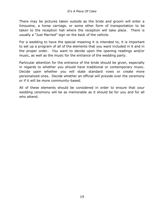There may be pictures taken outside as the bride and groom will enter a limousine, a horse carriage, or some other form of transportation to be taken to the reception hall where the reception will take place. There is usually a "Just Married" sign on the back of the vehicle.

For a wedding to have the special meaning it is intended to, it is important to set up a program of all of the elements that you want included in it and in the proper order. You want to decide upon the opening readings and/or music, as well as the music for the entrance of the wedding party.

Particular attention for the entrance of the bride should be given, especially in regards to whether you should have traditional or contemporary music. Decide upon whether you will state standard vows or create more personalized ones. Decide whether an official will preside over the ceremony or if it will be more community-based.

<span id="page-18-0"></span>All of these elements should be considered in order to ensure that your wedding ceremony will be as memorable as it should be for you and for all who attend.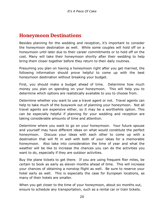#### **Honeymoon Destinations**

Besides planning for the wedding and reception, it's important to consider the honeymoon destination as well. While some couples will hold off on a honeymoon until later due to their career commitments or to hold off on the cost. Many will take their honeymoon shortly after their wedding to help bring them closer together before they return to their daily routines.

Presuming you plan on having a honeymoon right after you get married, the following information should prove helpful to come up with the best honeymoon destination without breaking your budget.

First, you should make a budget ahead of time. Determine how much money you plan on spending on your honeymoon. This will help you to determine which options are realistically available to you to choose from.

Determine whether you want to use a travel agent or not. Travel agents can help to take much of the busywork out of planning your honeymoon. Not all travel agents are expensive either, so it may be a worthwhile option. This can be especially helpful if planning for your wedding and reception are taking considerable amounts of time and attention.

Determine where you want to go on your honeymoon. Your future spouse and yourself may have different ideas on what would constitute the perfect honeymoon. Discuss your ideas with each other to come up with a destination that will fit in well with both of your ideas for a memorable honeymoon. Also take into consideration the time of year and what the weather will be like to increase the chances you can do the activities you want to do, especially if they are outdoor activities.

Buy the plane tickets to get there. If you are using frequent flier miles, be certain to book as early as eleven months ahead of time. This will increase your chances of obtaining a nonstop flight as well. Be sure to reserve your hotel early as well. This is especially the case for European locations, as many of their hotels are smaller.

When you get closer to the time of your honeymoon, about six months out, ensure to schedule any transportation, such as a rental car or train tickets.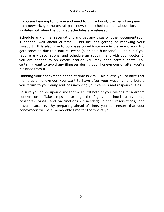If you are heading to Europe and need to utilize Eurail, the main European train network, get the overall pass now, then schedule seats about sixty or so dates out when the updated schedules are released.

Schedule any dinner reservations and get any visas or other documentation if needed, well ahead of time. This includes getting or renewing your passport. It is also wise to purchase travel insurance in the event your trip gets canceled due to a natural event (such as a hurricane). Find out if you require any vaccinations, and schedule an appointment with your doctor. If you are headed to an exotic location you may need certain shots. You certainly want to avoid any illnesses during your honeymoon or after you've returned from it.

Planning your honeymoon ahead of time is vital. This allows you to have that memorable honeymoon you want to have after your wedding, and before you return to your daily routines involving your careers and responsibilities.

<span id="page-20-0"></span>Be sure you agree upon a site that will fulfill both of your visions for a dream honeymoon. Take steps to arrange the flight, the hotel reservations, passports, visas, and vaccinations (if needed), dinner reservations, and travel insurance. By preparing ahead of time, you can ensure that your honeymoon will be a memorable time for the two of you.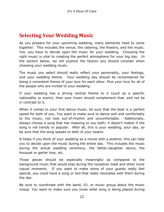### **Selecting Your Wedding Music**

As you prepare for your upcoming wedding, many elements need to come together. This includes the venue, the catering, the flowers, and the music. Yes, you have to decide upon the music for your wedding. Choosing the right music is vital to creating the perfect atmosphere for your big day. In the section below, we will explore the factors you should consider when choosing your wedding music.

The music you select should really reflect your personality, your feelings, and your wedding theme. Your wedding day should be remembered for being a consistent theme of your love for each other. Plus your love for all of the people who are invited to your wedding.

If your wedding has a strong central theme to it (such as a specific nationality or scene), then your music should complement that, and not be in contrast to it.

When it comes to your first dance music, be sure that the beat is a perfect speed for both of you. You want to make sure to dance well and comfortably to the music, not look out-of-rhythm and uncomfortable. Additionally, always choose a song that has meaning to you both; it doesn't matter if the song is not trendy or popular. After all, this is your wedding, your day, so be sure that the song speaks to both of your hearts.

It helps if you think of your wedding as a movie with a plotline; this can help you to decide upon the music during the entire day. This includes the music during the actual wedding ceremony, the father-daughter dance, the bouquet or garter toss, etc.

Those pieces should be especially meaningful as compared to the background music that would play during the reception meal and other more casual moments. If you want to make some of your guests really feel special, you could have a song or two that really resonates with them during the day.

Be sure to coordinate with the band, DJ, or music group about the music lineup. You want to make sure you know what song is being played during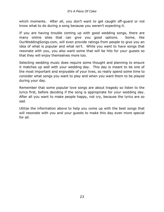which moments. After all, you don't want to get caught off-guard or not know what to do during a song because you weren't expecting it.

If you are having trouble coming up with good wedding songs, there are many online sites that can give you good options. Some, like OurWeddingSongs.com, will even provide ratings from people to give you an idea of what is popular and what isn't. While you want to have songs that resonate with you, you also want some that will be hits for your guests so that they will enjoy themselves more too.

Selecting wedding music does require some thought and planning to ensure it matches up well with your wedding day. This day is meant to be one of the most important and enjoyable of your lives, so really spend some time to consider what songs you want to play and when you want them to be played during your day.

Remember that some popular love songs are about tragedy so listen to the lyrics first, before deciding if the song is appropriate for your wedding day. After all you want to make people happy, not cry, because the lyrics are so sad.

<span id="page-22-0"></span>Utilize the information above to help you come up with the best songs that will resonate with you and your guests to make this day even more special for all.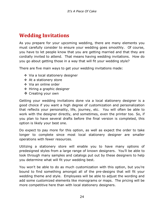### **Wedding Invitations**

As you prepare for your upcoming wedding, there are many elements you must carefully consider to ensure your wedding goes smoothly. Of course, you have to let people know that you are getting married and that they are cordially invited to attend. That means having wedding invitations. How do you go about getting those in a way that will fit your wedding style?

There are five main ways to get your wedding invitations made:

- Via a local stationery designer
- At a stationery store
- ❖ Via an online order
- $\div$  Hiring a graphic designer
- ❖ Creating your own

Getting your wedding invitations done via a local stationery designer is a good choice if you want a high degree of customization and personalization that reflects your personality, life, journey, etc. You will often be able to work with the designer directly, and sometimes, even the printer too. So, if you plan to have several drafts before the final version is completed, this option is likely your best one.

Do expect to pay more for this option, as well as expect the order to take longer to complete since most local stationery designer are smaller operations with fewer resources.

Utilizing a stationery store will enable you to have many options of predesigned styles from a large range of known designers. You'll be able to look through many samples and catalogs put out by these designers to help you determine what will fit your wedding best.

You won't be able to do as much customization with this option, but you're bound to find something amongst all of the pre-designs that will fit your wedding theme and style. Employees will be able to adjust the wording and add some customized elements like monograms or maps. The pricing will be more competitive here than with local stationery designers.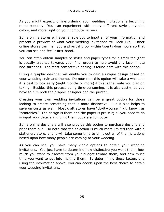As you might expect, online ordering your wedding invitations is becoming more popular. You can experiment with many different styles, layouts, colors, and more right on your computer screen.

Some online stores will even enable you to input all of your information and present a preview of what your wedding invitations will look like. Other online stores can mail you a physical proof within twenty-four hours so that you can see and feel it first-hand.

You can often obtain samples of styles and paper types for a small fee (that is usually credited towards your final order) to help avoid any last-minute bad surprises. The most competitive pricing is found here with this option.

Hiring a graphic designer will enable you to gain a unique design based on your wedding style and theme. Do note that this option will take a while, so it is best to look early (eight months or more) if this is the route you plan on taking. Besides this process being time-consuming, it is also costly, as you have to hire both the graphic designer and the printer.

Creating your own wedding invitations can be a great option for those looking to create something that is more distinctive. Plus it also helps to save on costs as well. Most craft stores have "do-it-yourself" kit, known as "printables." The design is there and the paper is pre-cut; all you need to do is input your details and print them out via a computer.

Some online designers will also provide this option to purchase designs and print them out. Do note that the selection is much more limited than with a stationery store, and it will take some time to print out all of the invitations based upon how many people are coming to your wedding.

<span id="page-24-0"></span>As you can see, you have many viable options to obtain your wedding invitations. You just have to determine how distinctive you want them, how much you want to allocate from your budget toward them, and how much time you want to put into making them. By determining these factors and using the information above, you can decide upon the best choice to obtain your wedding invitations.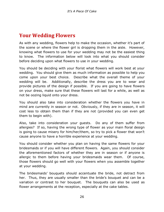### **Your Wedding Flowers**

As with any wedding, flowers help to make the occasion, whether it's part of the scene or where the flower girl is dropping them in the aisle. However, knowing what flowers to use for your wedding may not be the easiest thing to know. The information below will look into what you should consider before deciding upon what flowers to use in your wedding.

You should be deciding with your florist what flowers will work best at your wedding. You should give them as much information as possible to help you come upon your best choice. Describe what the overall theme of your wedding will be. Additionally, describe the dress you are to wear and provide pictures of the design if possible. If you are going to have flowers on your dress, make sure that these flowers will last for a while, as well as not be oozing liquid onto your dress.

You should also take into consideration whether the flowers you have in mind are currently in season or not. Obviously, if they are in season, it will cost less to obtain them than if they are not (provided you can even get them to begin with).

Also, take into consideration your guests. Do any of them suffer from allergies? If so, having the wrong type of flower as your main floral design is going to cause misery for him/her/them, so try to pick a flower that won't cause anyone to have a horrible experience at your wedding.

You should consider whether you plan on having the same flowers for your bridesmaids or if you will have different flowers. Again, you should consider the aforementioned factors of whether they are in season or if anyone is allergic to them before having your bridesmaids wear them. Of course, those flowers should go well with your flowers when you assemble together at your wedding.

The bridesmaids' bouquets should accentuate the bride, not detract from her. Thus, they are usually smaller than the bride's bouquet and can be a variation or contrast to her bouquet. The bouquets can also be used as flower arrangements at the reception, especially at the cake tables.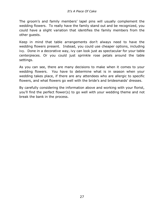The groom's and family members' lapel pins will usually complement the wedding flowers. To really have the family stand out and be recognized, you could have a slight variation that identifies the family members from the other guests.

Keep in mind that table arrangements don't always need to have the wedding flowers present. Instead, you could use cheaper options, including ivy. Done in a decorative way, ivy can look just as spectacular for your table centerpieces. Or you could just sprinkle rose petals around the table settings.

As you can see, there are many decisions to make when it comes to your wedding flowers. You have to determine what is in season when your wedding takes place, if there are any attendees who are allergic to specific flowers, and what flowers go well with the bride's and bridesmaids' dresses.

<span id="page-26-0"></span>By carefully considering the information above and working with your florist, you'll find the perfect flower(s) to go well with your wedding theme and not break the bank in the process.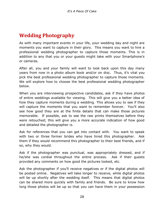# **Wedding Photography**

As with many important events in your life, your wedding day and night are moments you want to capture in their glory. This means you want to hire a professional wedding photographer to capture those moments. This is in addition to any that you or your guests might take with your Smartphone's or cameras.

After all, you and your family will want to look back upon this day many years from now in a photo album book and/or on disc. Thus, it's vital you pick the best professional wedding photographer to capture those moments. We will explore how to choose the best professional wedding photographer below.

When you are interviewing prospective candidates, ask if they have photos of entire weddings available for viewing. This will give you a better idea of how they capture moments during a wedding. This allows you to see if they will capture the moments that you want to remember forever. You'll also see how good they are at the finite details that can make those pictures memorable. If possible, ask to see the raw prints themselves before they were retouched; this will give you a more accurate indication of how good and detailed the photographer is.

Ask for references that you can get into contact with. You want to speak with two or three former brides who have hired this photographer. Ask them if they would recommend this photographer to their best friends, and if so, why they would.

Ask if the photographer was punctual, was appropriately dressed, and if he/she was cordial throughout the entire process. Ask if their guests provided any comments on how good the pictures looked, etc.

Ask the photographer if you'll receive negatives or if the digital photos will be posted online. Negatives will take longer to receive, while digital photos will be up shortly after the wedding itself. This means that digital photos can be shared more quickly with family and friends. Be sure to know how long those photos will be up so that you can have them in your possession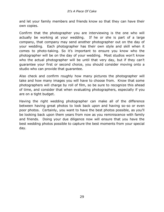and let your family members and friends know so that they can have their own copies.

Confirm that the photographer you are interviewing is the one who will actually be working at your wedding. If he or she is part of a large company, that company may send another photographer out on the day of your wedding. Each photographer has their own style and skill when it comes to photo-taking. So it's important to ensure you know who the photographer will be on the day of your wedding. Most studios won't know who the actual photographer will be until that very day, but if they can't guarantee your first or second choice, you should consider moving onto a studio who can provide that guarantee.

Also check and confirm roughly how many pictures the photographer will take and how many images you will have to choose from. Know that some photographers will charge by roll of film, so be sure to recognize this ahead of time, and consider that when evaluating photographers, especially if you are on a tight budget.

<span id="page-28-0"></span>Having the right wedding photographer can make all of the difference between having great photos to look back upon and having so-so or even poor photos. Certainly, you want to have the best photos possible, as you'll be looking back upon them years from now as you reminiscence with family and friends. Doing your due diligence now will ensure that you have the best wedding photos possible to capture the best moments from your special day.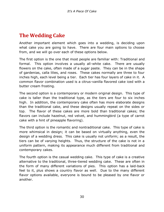# **The Wedding Cake**

Another important element which goes into a wedding, is deciding upon what cake you are going to have. There are four main options to choose from, and we will go over each of these options below.

The first option is the one that most people are familiar with: Traditional and formal. This option involves a usually all-white cake. There are usually flowers on the cake, often made of a sugar paste. They can be in the shape of gardenias, calla lilies, and roses. These cakes normally are three to four inches high, each level being a tier. Each tier has four layers of cake in it. A common flavor combination used is a citrus-vanilla flavored cake iced with a butter cream frosting.

The second option is a contemporary or modern original design. This type of cake is taller than the traditional type, as the tiers are four to six inches high. In addition, the contemporary cake often has more elaborate designs than the traditional cake, and these designs usually repeat on the sides or top. The flavor of these cakes are more bold than traditional cakes; the flavors can include hazelnut, red velvet, and hummingbird (a type of carrot cake with a hint of pineapple flavoring).

The third option is the romantic and nontraditional cake. This type of cake is more whimsical in design; it can be based on virtually anything, even the design of a wedding dress. This cake is usually not uniform; as a result, the tiers can be of varying heights. Thus, the structure of the cake is not in a uniform pattern, making its appearance much different from traditional and contemporary cakes.

The fourth option is the casual wedding cake. This type of cake is a creative alternative to the traditional, three-tiered wedding cake. These are often in the form of many different variations of pies. This option has a laid-back feel to it, plus shows a country flavor as well. Due to the many different flavor options available, everyone is bound to be pleased by one flavor or another.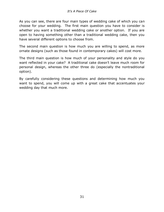As you can see, there are four main types of wedding cake of which you can choose for your wedding. The first main question you have to consider is whether you want a traditional wedding cake or another option. If you are open to having something other than a traditional wedding cake, then you have several different options to choose from.

The second main question is how much you are willing to spend, as more ornate designs (such as those found in contemporary cakes) will cost more.

The third main question is how much of your personality and style do you want reflected in your cake? A traditional cake doesn't leave much room for personal design, whereas the other three do (especially the nontraditional option).

<span id="page-30-0"></span>By carefully considering these questions and determining how much you want to spend, you will come up with a great cake that accentuates your wedding day that much more.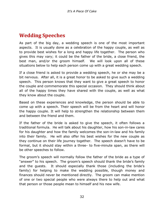#### **Wedding Speeches**

As part of the big day, a wedding speech is one of the most important aspects. It is usually done as a celebration of the happy couple, as well as to provide best wishes for a long and happy life together. The person who gives this may vary; it could be the father of the bride, a close friend, the best man, and/or the groom himself. We will look upon all of these situations below to help each person come up with a great wedding speech.

If a close friend is asked to provide a wedding speech, he or she may be a bit nervous. After all, it is a great honor to be asked to give such a wedding speech. This person knows that they want to give a great speech to honor the couple and commemorate this special occasion. They should think about all of the happy times they have shared with the couple, as well as what they know about the couple.

Based on these experiences and knowledge, the person should be able to come up with a speech. Their speech will be from the heart and will honor the happy couple. It will help to strengthen the relationship between them and between the friend and them.

If the father of the bride is asked to give the speech, it often follows a traditional formula. He will talk about his daughter, how his son-in-law cares for his daughter and how the family welcomes the son-in-law and his family into their family. He will also offer his best wishes for the new couple as they continue on their life journey together. The speech doesn't have to be formal, but it should stay within a three- to five-minute span, as there will be other speeches to follow.

The groom's speech will normally follow the father of the bride as a type of "answer" to his speech. The groom's speech should thank the bride's family and the guests. It should especially thank those (including the bride's family) for helping to make the wedding possible, though money and finances should never be mentioned directly. The groom can make mention of one or two special people who were always there to help out and what that person or those people mean to himself and his new wife.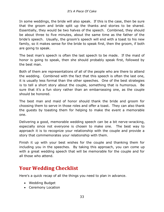In some weddings, the bride will also speak. If this is the case, then be sure that the groom and bride split up the thanks and stories to be shared. Essentially, they would be two halves of the speech. Combined, they should be about three to five minutes, about the same time as the father of the bride's speech. Usually, the groom's speech will end with a toast to his new family, so it makes sense for the bride to speak first, then the groom, if both are going to speak.

The best man's speech is often the last speech to be made. If the maid of honor is going to speak, then she should probably speak first, followed by the best man.

Both of them are representations of all of the people who are there to attend the wedding. Combined with the fact that this speech is often the last one, it is usually less formal than the other speeches. One of the best strategies is to tell a short story about the couple, something that is humorous. Be sure that it's a fun story rather than an embarrassing one, as the couple should be honored.

The best man and maid of honor should thank the bride and groom for choosing them to serve in those roles and offer a toast. They can also thank the guests by toasting them for helping to make the event a memorable one.

Delivering a good, memorable wedding speech can be a bit nerve-wracking, especially since not everyone is chosen to make one. The best way to approach it is to recognize your relationship with the couple and provide a story that commemorates your relationship with them.

Finish it up with your best wishes for the couple and thanking them for including you in the speeches. By taking this approach, you can come up with a great wedding speech that will be memorable for the couple and for all those who attend.

### **Your Wedding Checklist**

Here's a quick recap of all the things you need to plan in advance.

- Wedding Budget
- Ceremony Location